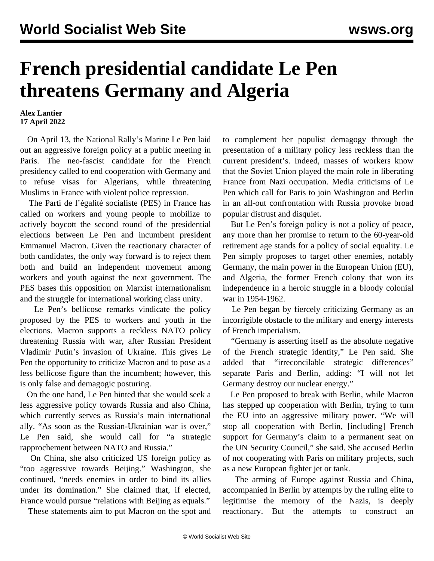## **French presidential candidate Le Pen threatens Germany and Algeria**

## **Alex Lantier 17 April 2022**

 On April 13, the National Rally's Marine Le Pen laid out an aggressive foreign policy at a public meeting in Paris. The neo-fascist candidate for the French presidency called to end cooperation with Germany and to refuse visas for Algerians, while threatening Muslims in France with violent police repression.

 The Parti de l'égalité socialiste (PES) in France has called on workers and young people to mobilize to actively boycott the second round of the presidential elections between Le Pen and incumbent president Emmanuel Macron. Given the reactionary character of both candidates, the only way forward is to reject them both and build an independent movement among workers and youth against the next government. The PES bases this opposition on Marxist internationalism and the struggle for international working class unity.

 Le Pen's bellicose remarks vindicate the policy proposed by the PES to workers and youth in the elections. Macron supports a reckless NATO policy threatening Russia with war, after Russian President Vladimir Putin's invasion of Ukraine. This gives Le Pen the opportunity to criticize Macron and to pose as a less bellicose figure than the incumbent; however, this is only false and demagogic posturing.

 On the one hand, Le Pen hinted that she would seek a less aggressive policy towards Russia and also China, which currently serves as Russia's main international ally. "As soon as the Russian-Ukrainian war is over," Le Pen said, she would call for "a strategic rapprochement between NATO and Russia."

 On China, she also criticized US foreign policy as "too aggressive towards Beijing." Washington, she continued, "needs enemies in order to bind its allies under its domination." She claimed that, if elected, France would pursue "relations with Beijing as equals."

These statements aim to put Macron on the spot and

to complement her populist demagogy through the presentation of a military policy less reckless than the current president's. Indeed, masses of workers know that the Soviet Union played the main role in liberating France from Nazi occupation. Media criticisms of Le Pen which call for Paris to join Washington and Berlin in an all-out confrontation with Russia provoke broad popular distrust and disquiet.

 But Le Pen's foreign policy is not a policy of peace, any more than her promise to return to the 60-year-old retirement age stands for a policy of social equality. Le Pen simply proposes to target other enemies, notably Germany, the main power in the European Union (EU), and Algeria, the former French colony that won its independence in a heroic struggle in a bloody colonial war in 1954-1962.

 Le Pen began by fiercely criticizing Germany as an incorrigible obstacle to the military and energy interests of French imperialism.

 "Germany is asserting itself as the absolute negative of the French strategic identity," Le Pen said. She added that "irreconcilable strategic differences" separate Paris and Berlin, adding: "I will not let Germany destroy our nuclear energy."

 Le Pen proposed to break with Berlin, while Macron has stepped up cooperation with Berlin, trying to turn the EU into an aggressive military power. "We will stop all cooperation with Berlin, [including] French support for Germany's claim to a permanent seat on the UN Security Council," she said. She accused Berlin of not cooperating with Paris on military projects, such as a new European fighter jet or tank.

 The arming of Europe against Russia and China, accompanied in Berlin by attempts by the ruling elite to legitimise the memory of the Nazis, is deeply reactionary. But the attempts to construct an